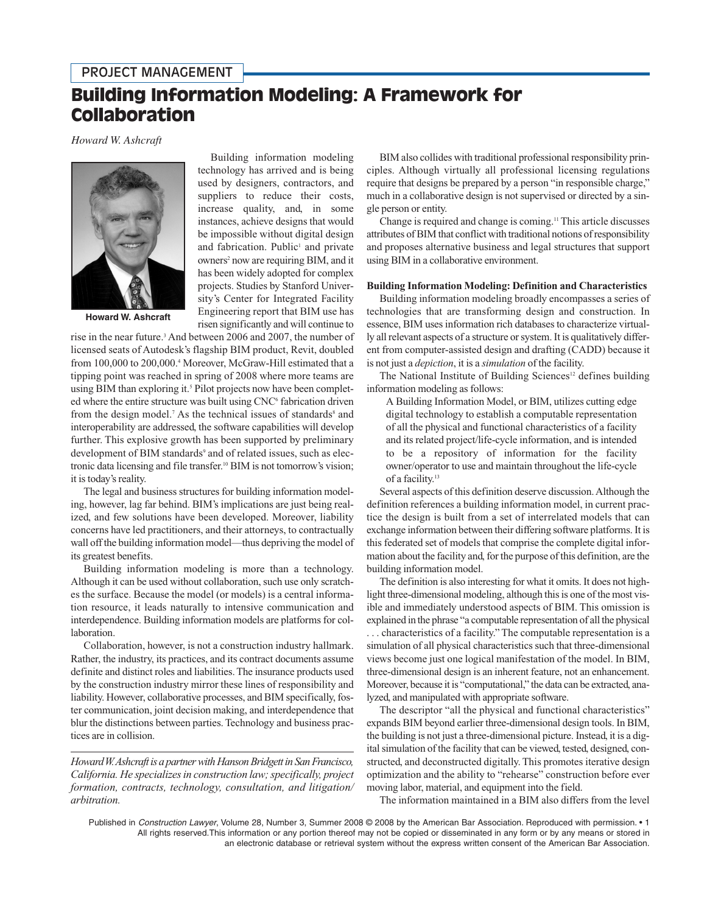# Building Information Modeling: A Framework for Collaboration

# *Howard W. Ashcraft*



**Howard W. Ashcraft**

Building information modeling technology has arrived and is being used by designers, contractors, and suppliers to reduce their costs, increase quality, and, in some instances, achieve designs that would be impossible without digital design and fabrication. Public<sup>1</sup> and private owners<sup>2</sup> now are requiring BIM, and it has been widely adopted for complex projects. Studies by Stanford University's Center for Integrated Facility Engineering report that BIM use has risen significantly and will continue to

rise in the near future.<sup>3</sup> And between 2006 and 2007, the number of licensed seats of Autodesk's flagship BIM product, Revit, doubled from 100,000 to 200,000. <sup>4</sup> Moreover, McGraw-Hill estimated that a tipping point was reached in spring of 2008 where more teams are using BIM than exploring it. <sup>5</sup> Pilot projects now have been completed where the entire structure was built using CNC6 fabrication driven from the design model.<sup>7</sup> As the technical issues of standards<sup>8</sup> and interoperability are addressed, the software capabilities will develop further. This explosive growth has been supported by preliminary development of BIM standards<sup>9</sup> and of related issues, such as electronic data licensing and file transfer. <sup>10</sup> BIM is not tomorrow's vision; it is today's reality.

The legal and business structures for building information modeling, however, lag far behind. BIM's implications are just being realized, and few solutions have been developed. Moreover, liability concerns have led practitioners, and their attorneys, to contractually wall off the building information model—thus depriving the model of its greatest benefits.

Building information modeling is more than a technology. Although it can be used without collaboration, such use only scratches the surface. Because the model (or models) is a central information resource, it leads naturally to intensive communication and interdependence. Building information models are platforms for collaboration.

Collaboration, however, is not a construction industry hallmark. Rather, the industry, its practices, and its contract documents assume definite and distinct roles and liabilities.The insurance products used by the construction industry mirror these lines of responsibility and liability. However, collaborative processes, and BIM specifically, foster communication, joint decision making, and interdependence that blur the distinctions between parties. Technology and business practices are in collision.

*HowardW.Ashcraftis a partnerwithHansonBridgettin SanFrancisco, California. He specializesin construction law;specifically, project formation, contracts, technology, consultation, and litigation/ arbitration.*

BIM also collides with traditional professional responsibility principles. Although virtually all professional licensing regulations require that designs be prepared by a person "in responsible charge," much in a collaborative design is not supervised or directed by a single person or entity.

Change is required and change is coming. <sup>11</sup> This article discusses attributes ofBIM that conflict with traditional notions ofresponsibility and proposes alternative business and legal structures that support using BIM in a collaborative environment.

# **Building Information Modeling: Definition and Characteristics**

Building information modeling broadly encompasses a series of technologies that are transforming design and construction. In essence, BIM uses information rich databases to characterize virtually all relevant aspects of a structure or system. It is qualitatively different from computer-assisted design and drafting (CADD) because it is not just a *depiction*, it is a *simulation* of the facility.

The National Institute of Building Sciences<sup>12</sup> defines building information modeling as follows:

A Building Information Model, or BIM, utilizes cutting edge digital technology to establish a computable representation of all the physical and functional characteristics of a facility and its related project/life-cycle information, and is intended to be a repository of information for the facility owner/operator to use and maintain throughout the life-cycle of a facility. 13

Several aspects of this definition deserve discussion.Although the definition references a building information model, in current practice the design is built from a set of interrelated models that can exchange information between their differing software platforms. It is this federated set of models that comprise the complete digital information about the facility and, for the purpose of this definition, are the building information model.

The definition is also interesting for what it omits. It does not highlight three-dimensional modeling, although this is one of the most visible and immediately understood aspects of BIM. This omission is explained in the phrase "a computable representation of all the physical . . . characteristics of a facility." The computable representation is a simulation of all physical characteristics such that three-dimensional views become just one logical manifestation of the model. In BIM, three-dimensional design is an inherent feature, not an enhancement. Moreover, because it is "computational," the data can be extracted, analyzed, and manipulated with appropriate software.

The descriptor "all the physical and functional characteristics" expands BIM beyond earlier three-dimensional design tools. In BIM, the building is not just a three-dimensional picture. Instead, it is a digital simulation of the facility that can be viewed, tested, designed, constructed, and deconstructed digitally. This promotes iterative design optimization and the ability to "rehearse" construction before ever moving labor, material, and equipment into the field.

The information maintained in a BIM also differs from the level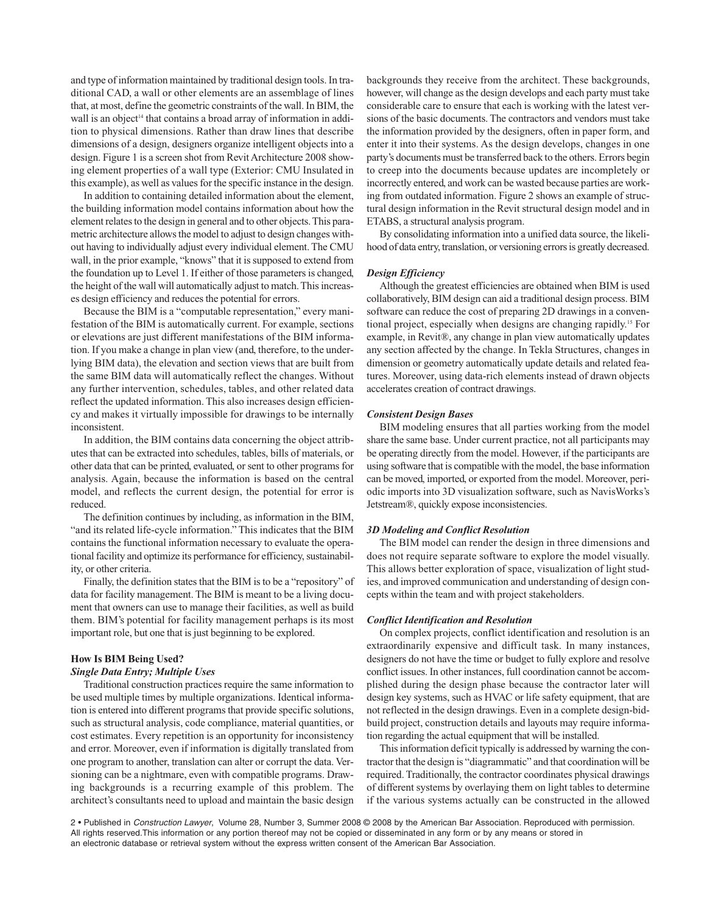and type of information maintained by traditional design tools. In traditional CAD, a wall or other elements are an assemblage of lines that, at most, define the geometric constraints of the wall. In BIM, the wall is an object<sup>14</sup> that contains a broad array of information in addition to physical dimensions. Rather than draw lines that describe dimensions of a design, designers organize intelligent objects into a design. Figure 1 is a screen shot from Revit Architecture 2008 showing element properties of a wall type (Exterior: CMU Insulated in this example), as well as values for the specific instance in the design.

In addition to containing detailed information about the element, the building information model contains information about how the element relates to the design in general and to other objects. This parametric architecture allows the model to adjust to design changes without having to individually adjust every individual element.The CMU wall, in the prior example, "knows" that it is supposed to extend from the foundation up to Level 1. If either of those parameters is changed, the height of the wall will automatically adjust to match. This increases design efficiency and reduces the potential for errors.

Because the BIM is a "computable representation," every manifestation of the BIM is automatically current. For example, sections or elevations are just different manifestations of the BIM information. If you make a change in plan view (and, therefore, to the underlying BIM data), the elevation and section views that are built from the same BIM data will automatically reflect the changes. Without any further intervention, schedules, tables, and other related data reflect the updated information. This also increases design efficiency and makes it virtually impossible for drawings to be internally inconsistent.

In addition, the BIM contains data concerning the object attributes that can be extracted into schedules, tables, bills of materials, or other data that can be printed, evaluated, or sent to other programs for analysis. Again, because the information is based on the central model, and reflects the current design, the potential for error is reduced.

The definition continues by including, as information in the BIM, "and its related life-cycle information." This indicates that the BIM contains the functional information necessary to evaluate the operational facility and optimize its performance for efficiency, sustainability, or other criteria.

Finally, the definition states that the BIM is to be a "repository" of data for facility management. The BIM is meant to be a living document that owners can use to manage their facilities, as well as build them. BIM's potential for facility management perhaps is its most important role, but one that is just beginning to be explored.

## **How Is BIM Being Used?**

#### *Single Data Entry; Multiple Uses*

Traditional construction practices require the same information to be used multiple times by multiple organizations. Identical information is entered into different programs that provide specific solutions, such as structural analysis, code compliance, material quantities, or cost estimates. Every repetition is an opportunity for inconsistency and error. Moreover, even if information is digitally translated from one program to another, translation can alter or corrupt the data. Versioning can be a nightmare, even with compatible programs. Drawing backgrounds is a recurring example of this problem. The architect's consultants need to upload and maintain the basic design

backgrounds they receive from the architect. These backgrounds, however, will change asthe design develops and each party must take considerable care to ensure that each is working with the latest versions of the basic documents.The contractors and vendors must take the information provided by the designers, often in paper form, and enter it into their systems. As the design develops, changes in one party's documents must be transferred back to the others. Errors begin to creep into the documents because updates are incompletely or incorrectly entered, and work can be wasted because parties are working from outdated information. Figure 2 shows an example of structural design information in the Revit structural design model and in ETABS, a structural analysis program.

By consolidating information into a unified data source, the likelihood of data entry, translation, or versioning errorsis greatly decreased.

#### *Design Efficiency*

Although the greatest efficiencies are obtained when BIM is used collaboratively, BIM design can aid a traditional design process. BIM software can reduce the cost of preparing 2D drawings in a conventional project, especially when designs are changing rapidly. <sup>15</sup> For example, in Revit®, any change in plan view automatically updates any section affected by the change. In Tekla Structures, changes in dimension or geometry automatically update details and related features. Moreover, using data-rich elements instead of drawn objects accelerates creation of contract drawings.

# *Consistent Design Bases*

BIM modeling ensures that all parties working from the model share the same base. Under current practice, not all participants may be operating directly from the model. However, if the participants are using software that is compatible with the model, the base information can be moved, imported, or exported from the model. Moreover, periodic imports into 3D visualization software, such as NavisWorks's Jetstream®, quickly expose inconsistencies.

#### *3D Modeling and Conflict Resolution*

The BIM model can render the design in three dimensions and does not require separate software to explore the model visually. This allows better exploration of space, visualization of light studies, and improved communication and understanding of design concepts within the team and with project stakeholders.

## *Conflict Identification and Resolution*

On complex projects, conflict identification and resolution is an extraordinarily expensive and difficult task. In many instances, designers do not have the time or budget to fully explore and resolve conflict issues. In other instances, full coordination cannot be accomplished during the design phase because the contractor later will design key systems, such as HVAC or life safety equipment, that are not reflected in the design drawings. Even in a complete design-bidbuild project, construction details and layouts may require information regarding the actual equipment that will be installed.

This information deficit typically is addressed by warning the contractor that the design is "diagrammatic" and that coordination will be required. Traditionally, the contractor coordinates physical drawings of different systems by overlaying them on light tables to determine if the various systems actually can be constructed in the allowed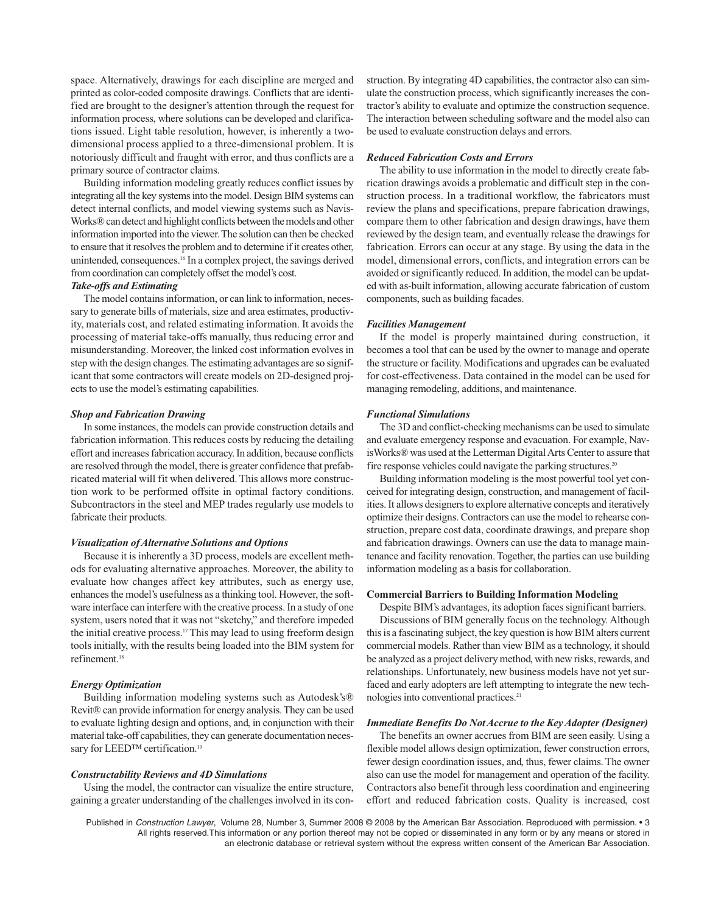space. Alternatively, drawings for each discipline are merged and printed as color-coded composite drawings. Conflicts that are identified are brought to the designer's attention through the request for information process, where solutions can be developed and clarifications issued. Light table resolution, however, is inherently a twodimensional process applied to a three-dimensional problem. It is notoriously difficult and fraught with error, and thus conflicts are a primary source of contractor claims.

Building information modeling greatly reduces conflict issues by integrating all the key systems into the model. Design BIM systems can detect internal conflicts, and model viewing systems such as Navis-Works® can detect and highlight conflicts between the models and other information imported into the viewer.The solution can then be checked to ensure that it resolves the problem and to determine if it creates other, unintended, consequences. <sup>16</sup> In a complex project, the savings derived from coordination can completely offset the model's cost.

# *Take-offs and Estimating*

The model contains information, or can link to information, necessary to generate bills of materials, size and area estimates, productivity, materials cost, and related estimating information. It avoids the processing of material take-offs manually, thus reducing error and misunderstanding. Moreover, the linked cost information evolves in step with the design changes.The estimating advantages are so significant that some contractors will create models on 2D-designed projects to use the model's estimating capabilities.

## *Shop and Fabrication Drawing*

In some instances, the models can provide construction details and fabrication information.This reduces costs by reducing the detailing effort and increasesfabrication accuracy.In addition, because conflicts are resolved through themodel, there is greater confidence that prefabricated material will fit when deli**v**ered. This allows more construction work to be performed offsite in optimal factory conditions. Subcontractors in the steel and MEP trades regularly use models to fabricate their products.

#### *Visualization ofAlternative Solutions and Options*

Because it is inherently a 3D process, models are excellent methods for evaluating alternative approaches. Moreover, the ability to evaluate how changes affect key attributes, such as energy use, enhances the model's usefulness as a thinking tool. However, the software interface can interfere with the creative process. In a study of one system, users noted that it was not "sketchy," and therefore impeded the initial creative process. <sup>17</sup> This may lead to using freeform design tools initially, with the results being loaded into the BIM system for refinement. 18

# *Energy Optimization*

Building information modeling systems such as Autodesk's® Revit® can provide information for energy analysis.They can be used to evaluate lighting design and options, and, in conjunction with their material take-off capabilities, they can generate documentation necessary for LEED<sup>™</sup> certification.<sup>19</sup>

#### *Constructability Reviews and 4D Simulations*

Using the model, the contractor can visualize the entire structure, gaining a greater understanding of the challenges involved in its construction. By integrating 4D capabilities, the contractor also can simulate the construction process, which significantly increases the contractor's ability to evaluate and optimize the construction sequence. The interaction between scheduling software and the model also can be used to evaluate construction delays and errors.

#### *Reduced Fabrication Costs and Errors*

The ability to use information in the model to directly create fabrication drawings avoids a problematic and difficult step in the construction process. In a traditional workflow, the fabricators must review the plans and specifications, prepare fabrication drawings, compare them to other fabrication and design drawings, have them reviewed by the design team, and eventually release the drawings for fabrication. Errors can occur at any stage. By using the data in the model, dimensional errors, conflicts, and integration errors can be avoided orsignificantly reduced. In addition, the model can be updated with as-built information, allowing accurate fabrication of custom components, such as building facades.

#### *Facilities Management*

If the model is properly maintained during construction, it becomes a tool that can be used by the owner to manage and operate the structure or facility. Modifications and upgrades can be evaluated for cost-effectiveness. Data contained in the model can be used for managing remodeling, additions, and maintenance.

#### *Functional Simulations*

The 3D and conflict-checking mechanisms can be used to simulate and evaluate emergency response and evacuation. For example, NavisWorks® was used at the Letterman Digital Arts Center to assure that fire response vehicles could navigate the parking structures.<sup>20</sup>

Building information modeling is the most powerful tool yet conceived for integrating design, construction, and management of facilities. It allows designers to explore alternative concepts and iteratively optimize their designs.Contractors can use the model to rehearse construction, prepare cost data, coordinate drawings, and prepare shop and fabrication drawings. Owners can use the data to manage maintenance and facility renovation.Together, the parties can use building information modeling as a basis for collaboration.

#### **Commercial Barriers to Building Information Modeling**

Despite BIM's advantages, its adoption faces significant barriers. Discussions of BIM generally focus on the technology. Although this is a fascinating subject, the key question is how BIM alters current commercial models. Rather than view BIM as a technology, it should be analyzed as a project delivery method, with new risks, rewards, and relationships. Unfortunately, new business models have not yet surfaced and early adopters are left attempting to integrate the new technologies into conventional practices.<sup>21</sup>

#### *Immediate Benefits Do NotAccrue to the KeyAdopter (Designer)*

The benefits an owner accrues from BIM are seen easily. Using a flexible model allows design optimization, fewer construction errors, fewer design coordination issues, and, thus, fewer claims.The owner also can use the model for management and operation of the facility. Contractors also benefit through less coordination and engineering effort and reduced fabrication costs. Quality is increased, cost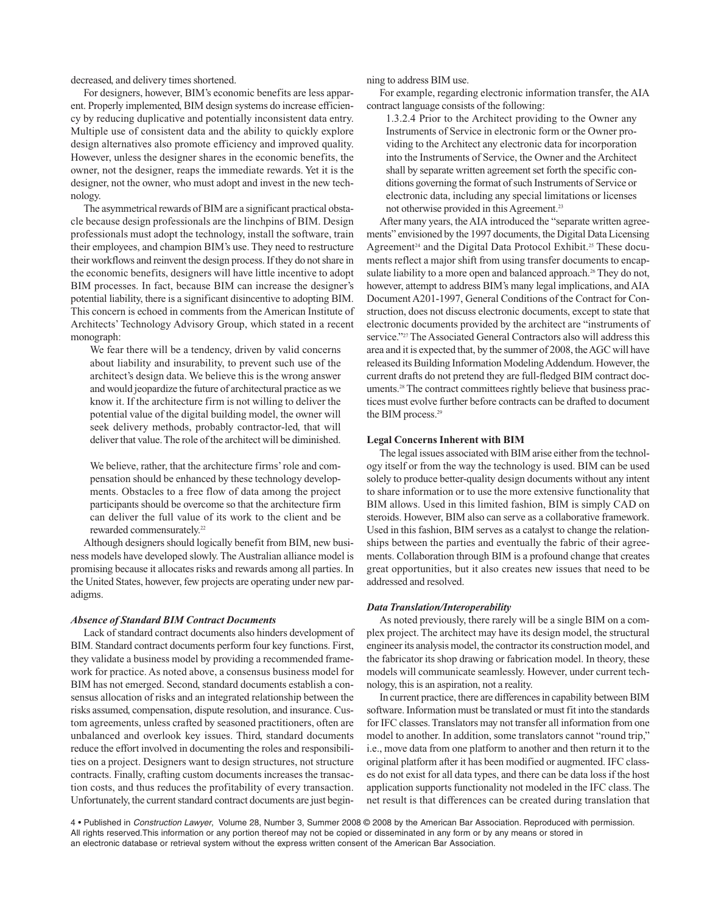decreased, and delivery times shortened.

For designers, however, BIM's economic benefits are less apparent. Properly implemented, BIM design systems do increase efficiency by reducing duplicative and potentially inconsistent data entry. Multiple use of consistent data and the ability to quickly explore design alternatives also promote efficiency and improved quality. However, unless the designer shares in the economic benefits, the owner, not the designer, reaps the immediate rewards. Yet it is the designer, not the owner, who must adopt and invest in the new technology.

The asymmetrical rewards of BIM are a significant practical obstacle because design professionals are the linchpins of BIM. Design professionals must adopt the technology, install the software, train their employees, and champion BIM's use. They need to restructure their workflows and reinvent the design process.Ifthey do notshare in the economic benefits, designers will have little incentive to adopt BIM processes. In fact, because BIM can increase the designer's potential liability, there is a significant disincentive to adopting BIM. This concern is echoed in comments from the American Institute of Architects' Technology Advisory Group, which stated in a recent monograph:

We fear there will be a tendency, driven by valid concerns about liability and insurability, to prevent such use of the architect's design data. We believe this is the wrong answer and would jeopardize the future of architectural practice as we know it. If the architecture firm is not willing to deliver the potential value of the digital building model, the owner will seek delivery methods, probably contractor-led, that will deliver that value. The role of the architect will be diminished.

We believe, rather, that the architecture firms'role and compensation should be enhanced by these technology developments. Obstacles to a free flow of data among the project participants should be overcome so that the architecture firm can deliver the full value of its work to the client and be rewarded commensurately. 22

Although designers should logically benefit from BIM, new business models have developed slowly.The Australian alliance model is promising because it allocates risks and rewards among all parties. In the United States, however, few projects are operating under new paradigms.

## *Absence of Standard BIM Contract Documents*

Lack of standard contract documents also hinders development of BIM. Standard contract documents perform four key functions. First, they validate a business model by providing a recommended framework for practice. As noted above, a consensus business model for BIM has not emerged. Second, standard documents establish a consensus allocation of risks and an integrated relationship between the risks assumed, compensation, dispute resolution, and insurance. Custom agreements, unless crafted by seasoned practitioners, often are unbalanced and overlook key issues. Third, standard documents reduce the effort involved in documenting the roles and responsibilities on a project. Designers want to design structures, not structure contracts. Finally, crafting custom documents increases the transaction costs, and thus reduces the profitability of every transaction. Unfortunately, the current standard contract documents are just beginning to address BIM use.

For example, regarding electronic information transfer, the AIA contract language consists of the following:

1.3.2.4 Prior to the Architect providing to the Owner any Instruments of Service in electronic form or the Owner providing to the Architect any electronic data for incorporation into the Instruments of Service, the Owner and the Architect shall by separate written agreement set forth the specific conditions governing the format of such Instruments of Service or electronic data, including any special limitations or licenses not otherwise provided in this Agreement.<sup>23</sup>

After many years, theAIA introduced the "separate written agreements" envisioned by the 1997 documents, the Digital Data Licensing Agreement<sup>24</sup> and the Digital Data Protocol Exhibit.<sup>25</sup> These documents reflect a major shift from using transfer documents to encapsulate liability to a more open and balanced approach.<sup>26</sup> They do not, however, attempt to address BIM's many legal implications, and AIA Document A201-1997, General Conditions of the Contract for Construction, does not discuss electronic documents, except to state that electronic documents provided by the architect are "instruments of service."<sup>27</sup> The Associated General Contractors also will address this area and it is expected that, by the summer of 2008, theAGC will have released its Building Information Modeling Addendum. However, the current drafts do not pretend they are full-fledged BIM contract documents. <sup>28</sup> The contract committees rightly believe that business practices must evolve further before contracts can be drafted to document the BIM process. 29

#### **Legal Concerns Inherent with BIM**

The legal issues associated with BIM arise either from the technology itself or from the way the technology is used. BIM can be used solely to produce better-quality design documents without any intent to share information or to use the more extensive functionality that BIM allows. Used in this limited fashion, BIM is simply CAD on steroids. However, BIM also can serve as a collaborative framework. Used in this fashion, BIM serves as a catalyst to change the relationships between the parties and eventually the fabric of their agreements. Collaboration through BIM is a profound change that creates great opportunities, but it also creates new issues that need to be addressed and resolved.

#### *Data Translation/Interoperability*

As noted previously, there rarely will be a single BIM on a complex project. The architect may have its design model, the structural engineer its analysis model, the contractor its construction model, and the fabricator its shop drawing or fabrication model. In theory, these models will communicate seamlessly. However, under current technology, this is an aspiration, not a reality.

In current practice, there are differences in capability between BIM software. Information must be translated or must fit into the standards for IFC classes.Translators may not transfer all information from one model to another. In addition, some translators cannot "round trip," i.e., move data from one platform to another and then return it to the original platform after it has been modified or augmented. IFC classes do not exist for all data types, and there can be data loss if the host application supports functionality not modeled in the IFC class. The net result is that differences can be created during translation that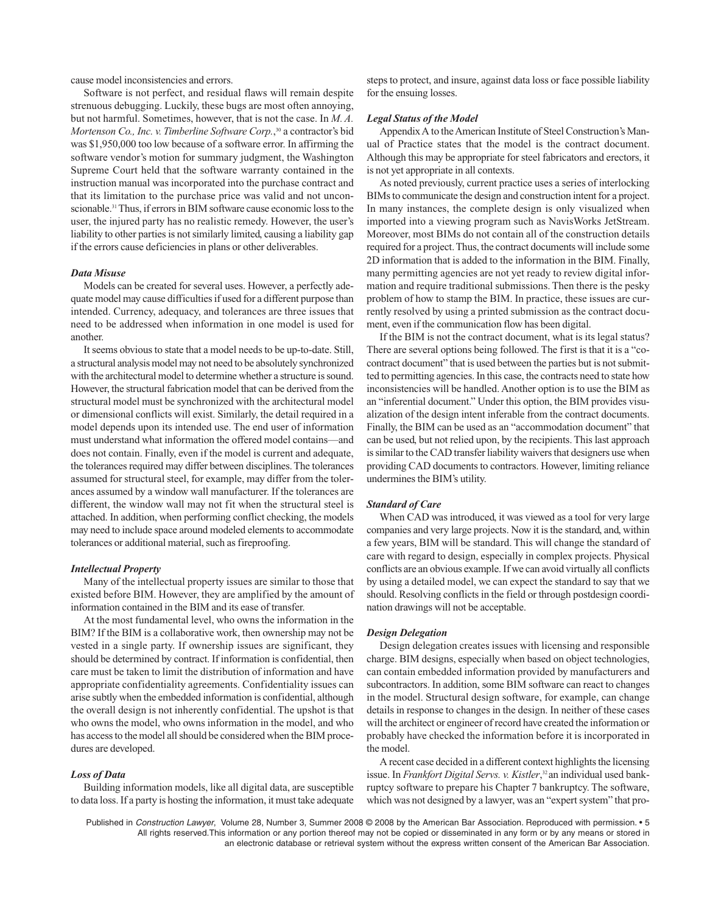cause model inconsistencies and errors.

Software is not perfect, and residual flaws will remain despite strenuous debugging. Luckily, these bugs are most often annoying, but not harmful. Sometimes, however, that is not the case. In *M. A. Mortenson Co., Inc. v.Timberline Software Corp.*, <sup>30</sup> a contractor's bid was \$1,950,000 too low because of a software error. In affirming the software vendor's motion for summary judgment, the Washington Supreme Court held that the software warranty contained in the instruction manual was incorporated into the purchase contract and that its limitation to the purchase price was valid and not unconscionable.<sup>31</sup> Thus, if errors in BIM software cause economic loss to the user, the injured party has no realistic remedy. However, the user's liability to other parties is not similarly limited, causing a liability gap if the errors cause deficiencies in plans or other deliverables.

#### *Data Misuse*

Models can be created for several uses. However, a perfectly adequate model may cause difficulties if used for a different purpose than intended. Currency, adequacy, and tolerances are three issues that need to be addressed when information in one model is used for another.

It seems obvious to state that a model needs to be up-to-date. Still, a structural analysismodelmay not need to be absolutely synchronized with the architectural model to determine whether a structure is sound. However, the structural fabrication model that can be derived from the structural model must be synchronized with the architectural model or dimensional conflicts will exist. Similarly, the detail required in a model depends upon its intended use. The end user of information must understand what information the offered model contains—and does not contain. Finally, even if the model is current and adequate, the tolerances required may differ between disciplines. The tolerances assumed for structural steel, for example, may differ from the tolerances assumed by a window wall manufacturer. If the tolerances are different, the window wall may not fit when the structural steel is attached. In addition, when performing conflict checking, the models may need to include space around modeled elements to accommodate tolerances or additional material, such as fireproofing.

## *Intellectual Property*

Many of the intellectual property issues are similar to those that existed before BIM. However, they are amplified by the amount of information contained in the BIM and its ease of transfer.

At the most fundamental level, who owns the information in the BIM? If the BIM is a collaborative work, then ownership may not be vested in a single party. If ownership issues are significant, they should be determined by contract. If information is confidential, then care must be taken to limit the distribution of information and have appropriate confidentiality agreements. Confidentiality issues can arise subtly when the embedded information is confidential, although the overall design is not inherently confidential. The upshot is that who owns the model, who owns information in the model, and who has access to the model all should be considered when the BIM procedures are developed.

# *Loss of Data*

Building information models, like all digital data, are susceptible to data loss.If a party is hosting the information, it must take adequate

steps to protect, and insure, against data loss or face possible liability for the ensuing losses.

## *Legal Status of the Model*

Appendix A to the American Institute of Steel Construction's Manual of Practice states that the model is the contract document. Although this may be appropriate for steel fabricators and erectors, it is not yet appropriate in all contexts.

As noted previously, current practice uses a series of interlocking BIMs to communicate the design and construction intent for a project. In many instances, the complete design is only visualized when imported into a viewing program such as NavisWorks JetStream. Moreover, most BIMs do not contain all of the construction details required for a project.Thus, the contract documents will include some 2D information that is added to the information in the BIM. Finally, many permitting agencies are not yet ready to review digital information and require traditional submissions. Then there is the pesky problem of how to stamp the BIM. In practice, these issues are currently resolved by using a printed submission as the contract document, even if the communication flow has been digital.

If the BIM is not the contract document, what is its legal status? There are several options being followed. The first is that it is a "cocontract document" that is used between the parties but is not submitted to permitting agencies.In this case, the contracts need to state how inconsistencies will be handled. Another option is to use the BIM as an "inferential document." Under this option, the BIM provides visualization of the design intent inferable from the contract documents. Finally, the BIM can be used as an "accommodation document" that can be used, but not relied upon, by the recipients.This last approach is similar to the CAD transfer liability waivers that designers use when providing CAD documents to contractors. However, limiting reliance undermines the BIM's utility.

#### *Standard of Care*

When CAD was introduced, it was viewed as a tool for very large companies and very large projects. Now it isthe standard, and, within a few years, BIM will be standard. This will change the standard of care with regard to design, especially in complex projects. Physical conflicts are an obvious example.If we can avoid virtually all conflicts by using a detailed model, we can expect the standard to say that we should. Resolving conflicts in the field or through postdesign coordination drawings will not be acceptable.

## *Design Delegation*

Design delegation creates issues with licensing and responsible charge. BIM designs, especially when based on object technologies, can contain embedded information provided by manufacturers and subcontractors. In addition, some BIM software can react to changes in the model. Structural design software, for example, can change details in response to changes in the design. In neither of these cases will the architect or engineer of record have created the information or probably have checked the information before it is incorporated in the model.

A recent case decided in a different context highlights the licensing issue. In *Frankfort Digital Servs. v. Kistler*, <sup>32</sup> an individual used bankruptcy software to prepare his Chapter 7 bankruptcy. The software, which was not designed by a lawyer, was an "expert system" that pro-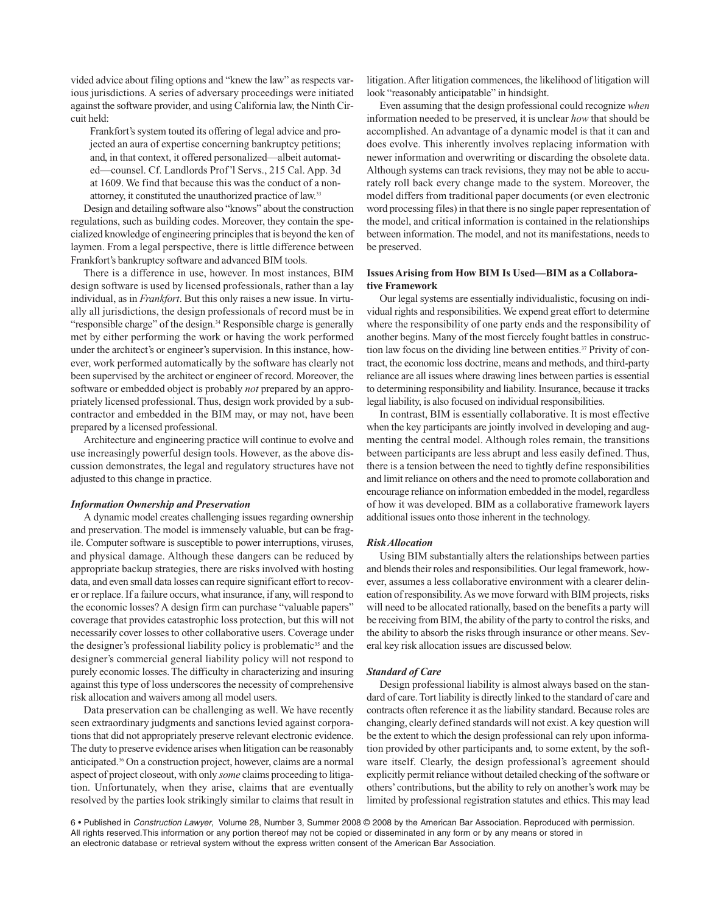vided advice about filing options and "knew the law" as respects various jurisdictions. A series of adversary proceedings were initiated against the software provider, and using California law, the Ninth Circuit held:

Frankfort's system touted its offering of legal advice and projected an aura of expertise concerning bankruptcy petitions; and, in that context, it offered personalized—albeit automated—counsel. Cf. Landlords Prof'l Servs., 215 Cal. App. 3d at 1609. We find that because this was the conduct of a nonattorney, it constituted the unauthorized practice of law. 33

Design and detailing software also "knows" about the construction regulations, such as building codes. Moreover, they contain the specialized knowledge of engineering principlesthat is beyond the ken of laymen. From a legal perspective, there is little difference between Frankfort's bankruptcy software and advanced BIM tools.

There is a difference in use, however. In most instances, BIM design software is used by licensed professionals, rather than a lay individual, as in *Frankfort*. But this only raises a new issue. In virtually all jurisdictions, the design professionals of record must be in "responsible charge" of the design. <sup>34</sup> Responsible charge is generally met by either performing the work or having the work performed under the architect's or engineer's supervision. In this instance, however, work performed automatically by the software has clearly not been supervised by the architect or engineer of record. Moreover, the software or embedded object is probably *not* prepared by an appropriately licensed professional. Thus, design work provided by a subcontractor and embedded in the BIM may, or may not, have been prepared by a licensed professional.

Architecture and engineering practice will continue to evolve and use increasingly powerful design tools. However, as the above discussion demonstrates, the legal and regulatory structures have not adjusted to this change in practice.

#### *Information Ownership and Preservation*

A dynamic model creates challenging issues regarding ownership and preservation. The model is immensely valuable, but can be fragile. Computer software is susceptible to power interruptions, viruses, and physical damage. Although these dangers can be reduced by appropriate backup strategies, there are risks involved with hosting data, and even small data losses can require significant effort to recover or replace. If a failure occurs, what insurance, if any, will respond to the economic losses? A design firm can purchase "valuable papers" coverage that provides catastrophic loss protection, but this will not necessarily cover losses to other collaborative users. Coverage under the designer's professional liability policy is problematic<sup>35</sup> and the designer's commercial general liability policy will not respond to purely economic losses.The difficulty in characterizing and insuring against this type of loss underscores the necessity of comprehensive risk allocation and waivers among all model users.

Data preservation can be challenging as well. We have recently seen extraordinary judgments and sanctions levied against corporations that did not appropriately preserve relevant electronic evidence. The duty to preserve evidence arises when litigation can be reasonably anticipated. <sup>36</sup> On a construction project, however, claims are a normal aspect of project closeout, with only *some* claims proceeding to litigation. Unfortunately, when they arise, claims that are eventually resolved by the parties look strikingly similar to claims that result in

litigation.After litigation commences, the likelihood of litigation will look "reasonably anticipatable" in hindsight.

Even assuming that the design professional could recognize *when* information needed to be preserved, it is unclear *how* that should be accomplished. An advantage of a dynamic model is that it can and does evolve. This inherently involves replacing information with newer information and overwriting or discarding the obsolete data. Although systems can track revisions, they may not be able to accurately roll back every change made to the system. Moreover, the model differs from traditional paper documents (or even electronic word processing files) in that there is no single paper representation of the model, and critical information is contained in the relationships between information.The model, and not its manifestations, needs to be preserved.

## **IssuesArising from How BIM Is Used—BIM as a Collaborative Framework**

Our legal systems are essentially individualistic, focusing on individual rights and responsibilities. We expend great effort to determine where the responsibility of one party ends and the responsibility of another begins. Many of the most fiercely fought battles in construction law focus on the dividing line between entities. <sup>37</sup> Privity of contract, the economic loss doctrine, means and methods, and third-party reliance are all issues where drawing lines between parties is essential to determining responsibility and liability. Insurance, because it tracks legal liability, is also focused on individual responsibilities.

In contrast, BIM is essentially collaborative. It is most effective when the key participants are jointly involved in developing and augmenting the central model. Although roles remain, the transitions between participants are less abrupt and less easily defined. Thus, there is a tension between the need to tightly define responsibilities and limit reliance on others and the need to promote collaboration and encourage reliance on information embedded in the model, regardless of how it was developed. BIM as a collaborative framework layers additional issues onto those inherent in the technology.

#### *RiskAllocation*

Using BIM substantially alters the relationships between parties and blends their roles and responsibilities. Our legal framework, however, assumes a less collaborative environment with a clearer delineation of responsibility.As we move forward with BIM projects, risks will need to be allocated rationally, based on the benefits a party will be receiving from BIM, the ability of the party to control the risks, and the ability to absorb the risks through insurance or other means. Several key risk allocation issues are discussed below.

#### *Standard of Care*

Design professional liability is almost always based on the standard of care.Tort liability is directly linked to the standard of care and contracts often reference it asthe liability standard. Because roles are changing, clearly defined standards will not exist.A key question will be the extent to which the design professional can rely upon information provided by other participants and, to some extent, by the software itself. Clearly, the design professional's agreement should explicitly permit reliance without detailed checking of the software or others' contributions, but the ability to rely on another's work may be limited by professional registration statutes and ethics.This may lead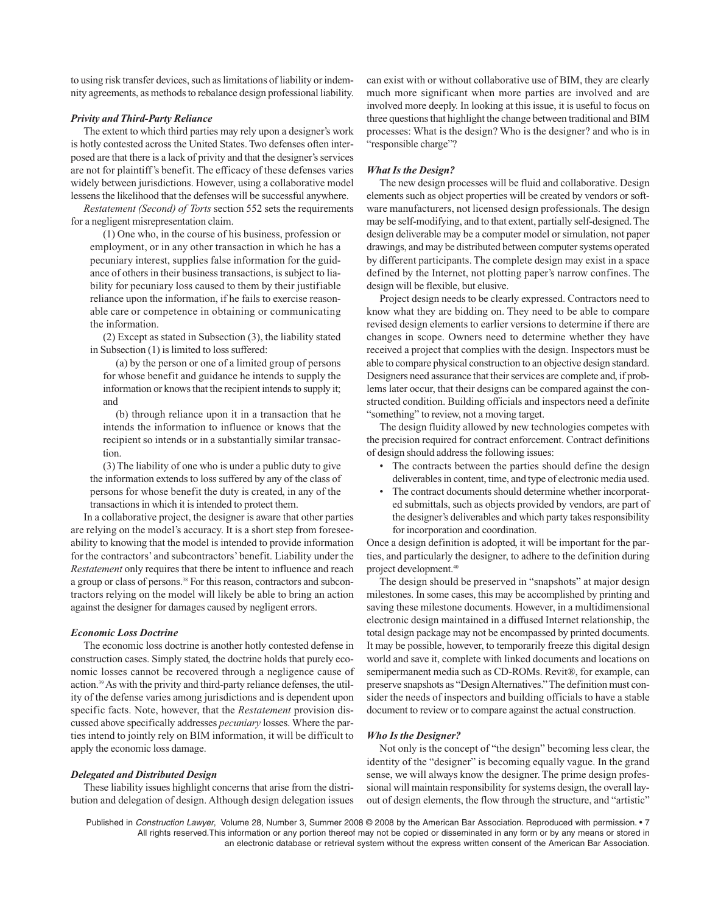to using risk transfer devices, such as limitations of liability or indemnity agreements, as methods to rebalance design professional liability.

## *Privity and Third-Party Reliance*

The extent to which third parties may rely upon a designer's work is hotly contested across the United States. Two defenses often interposed are that there is a lack of privity and that the designer's services are not for plaintiff's benefit. The efficacy of these defenses varies widely between jurisdictions. However, using a collaborative model lessens the likelihood that the defenses will be successful anywhere.

*Restatement (Second) of Torts* section 552 sets the requirements for a negligent misrepresentation claim.

(1) One who, in the course of his business, profession or employment, or in any other transaction in which he has a pecuniary interest, supplies false information for the guidance of others in their business transactions, is subject to liability for pecuniary loss caused to them by their justifiable reliance upon the information, if he fails to exercise reasonable care or competence in obtaining or communicating the information.

(2) Except as stated in Subsection (3), the liability stated in Subsection  $(1)$  is limited to loss suffered:

(a) by the person or one of a limited group of persons for whose benefit and guidance he intends to supply the information or knows that the recipient intends to supply it; and

(b) through reliance upon it in a transaction that he intends the information to influence or knows that the recipient so intends or in a substantially similar transaction.

(3) The liability of one who is under a public duty to give the information extends to loss suffered by any of the class of persons for whose benefit the duty is created, in any of the transactions in which it is intended to protect them.

In a collaborative project, the designer is aware that other parties are relying on the model's accuracy. It is a short step from foreseeability to knowing that the model is intended to provide information for the contractors' and subcontractors' benefit. Liability under the *Restatement* only requires that there be intent to influence and reach a group or class of persons. <sup>38</sup> For this reason, contractors and subcontractors relying on the model will likely be able to bring an action against the designer for damages caused by negligent errors.

## *Economic Loss Doctrine*

The economic loss doctrine is another hotly contested defense in construction cases. Simply stated, the doctrine holds that purely economic losses cannot be recovered through a negligence cause of action. 39As with the privity and third-party reliance defenses, the utility of the defense varies among jurisdictions and is dependent upon specific facts. Note, however, that the *Restatement* provision discussed above specifically addresses *pecuniary* losses. Where the parties intend to jointly rely on BIM information, it will be difficult to apply the economic loss damage.

## *Delegated and Distributed Design*

These liability issues highlight concerns that arise from the distribution and delegation of design. Although design delegation issues can exist with or without collaborative use of BIM, they are clearly much more significant when more parties are involved and are involved more deeply. In looking at this issue, it is useful to focus on three questions that highlight the change between traditional and BIM processes: What is the design? Who is the designer? and who is in "responsible charge"?

#### *What Is the Design?*

The new design processes will be fluid and collaborative. Design elements such as object properties will be created by vendors or software manufacturers, not licensed design professionals. The design may be self-modifying, and to that extent, partially self-designed.The design deliverable may be a computer model or simulation, not paper drawings, and may be distributed between computer systems operated by different participants. The complete design may exist in a space defined by the Internet, not plotting paper's narrow confines. The design will be flexible, but elusive.

Project design needs to be clearly expressed. Contractors need to know what they are bidding on. They need to be able to compare revised design elements to earlier versions to determine if there are changes in scope. Owners need to determine whether they have received a project that complies with the design. Inspectors must be able to compare physical construction to an objective design standard. Designers need assurance that their services are complete and, if problems later occur, that their designs can be compared against the constructed condition. Building officials and inspectors need a definite "something" to review, not a moving target.

The design fluidity allowed by new technologies competes with the precision required for contract enforcement. Contract definitions of design should addressthe following issues:

- The contracts between the parties should define the design deliverables in content, time, and type of electronic media used.
- The contract documents should determine whether incorporated submittals, such as objects provided by vendors, are part of the designer's deliverables and which party takes responsibility for incorporation and coordination.

Once a design definition is adopted, it will be important for the parties, and particularly the designer, to adhere to the definition during project development. 40

The design should be preserved in "snapshots" at major design milestones. In some cases, this may be accomplished by printing and saving these milestone documents. However, in a multidimensional electronic design maintained in a diffused Internet relationship, the total design package may not be encompassed by printed documents. It may be possible, however, to temporarily freeze this digital design world and save it, complete with linked documents and locations on semipermanent media such as CD-ROMs. Revit®, for example, can preserve snapshots as "DesignAlternatives."The definition must consider the needs of inspectors and building officials to have a stable document to review or to compare against the actual construction.

## *Who Is the Designer?*

Not only is the concept of "the design" becoming less clear, the identity of the "designer" is becoming equally vague. In the grand sense, we will always know the designer. The prime design professional will maintain responsibility for systems design, the overall layout of design elements, the flow through the structure, and "artistic"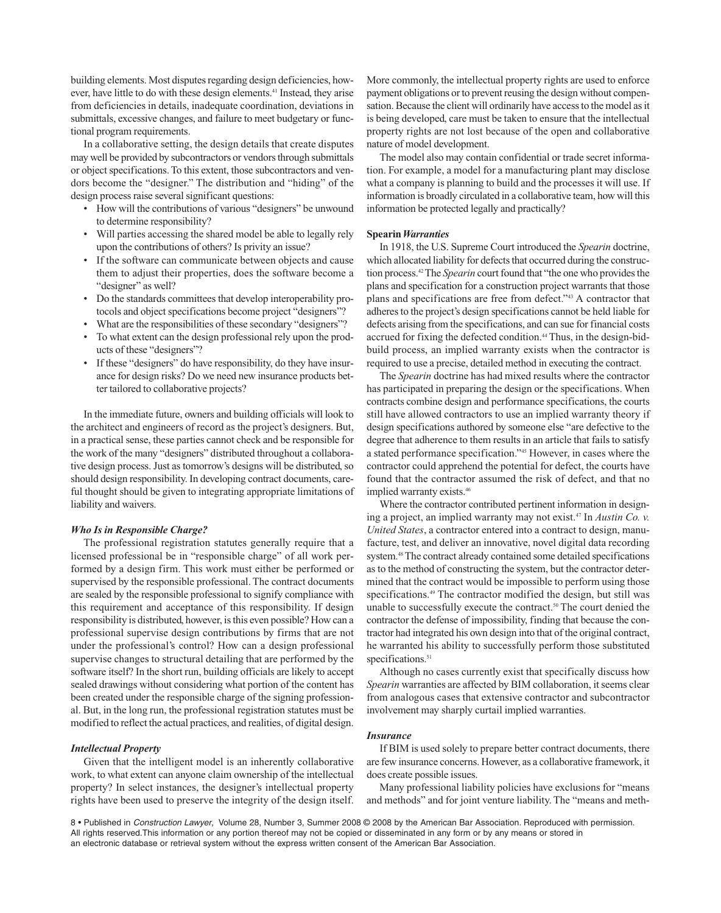building elements. Most disputes regarding design deficiencies, however, have little to do with these design elements. <sup>41</sup> Instead, they arise from deficiencies in details, inadequate coordination, deviations in submittals, excessive changes, and failure to meet budgetary or functional program requirements.

In a collaborative setting, the design details that create disputes may well be provided by subcontractors or vendors through submittals or object specifications.To this extent, those subcontractors and vendors become the "designer." The distribution and "hiding" of the design process raise several significant questions:

- How will the contributions of various "designers" be unwound to determine responsibility?
- Will parties accessing the shared model be able to legally rely upon the contributions of others? Is privity an issue?
- If the software can communicate between objects and cause them to adjust their properties, does the software become a "designer" as well?
- Do the standards committees that develop interoperability protocols and object specifications become project "designers"?
- What are the responsibilities of these secondary "designers"?
- To what extent can the design professional rely upon the products of these "designers"?
- If these "designers" do have responsibility, do they have insurance for design risks? Do we need new insurance products better tailored to collaborative projects?

In the immediate future, owners and building officials will look to the architect and engineers of record as the project's designers. But, in a practical sense, these parties cannot check and be responsible for the work of the many "designers" distributed throughout a collaborative design process. Just as tomorrow's designs will be distributed, so should design responsibility. In developing contract documents, careful thought should be given to integrating appropriate limitations of liability and waivers.

# *Who Is in Responsible Charge?*

The professional registration statutes generally require that a licensed professional be in "responsible charge" of all work performed by a design firm. This work must either be performed or supervised by the responsible professional. The contract documents are sealed by the responsible professional to signify compliance with this requirement and acceptance of this responsibility. If design responsibility is distributed, however, isthis even possible? How can a professional supervise design contributions by firms that are not under the professional's control? How can a design professional supervise changes to structural detailing that are performed by the software itself? In the short run, building officials are likely to accept sealed drawings without considering what portion of the content has been created under the responsible charge of the signing professional. But, in the long run, the professional registration statutes must be modified to reflect the actual practices, and realities, of digital design.

## *Intellectual Property*

Given that the intelligent model is an inherently collaborative work, to what extent can anyone claim ownership of the intellectual property? In select instances, the designer's intellectual property rights have been used to preserve the integrity of the design itself.

More commonly, the intellectual property rights are used to enforce payment obligations or to prevent reusing the design without compensation. Because the client will ordinarily have access to the model as it is being developed, care must be taken to ensure that the intellectual property rights are not lost because of the open and collaborative nature of model development.

The model also may contain confidential or trade secret information. For example, a model for a manufacturing plant may disclose what a company is planning to build and the processes it will use. If information is broadly circulated in a collaborative team, how will this information be protected legally and practically?

# **Spearin***Warranties*

In 1918, the U.S. Supreme Court introduced the *Spearin* doctrine, which allocated liability for defects that occurred during the construction process.<sup>42</sup> The *Spearin* court found that "the one who provides the plans and specification for a construction project warrants that those plans and specifications are free from defect."43 A contractor that adheres to the project's design specifications cannot be held liable for defects arising from the specifications, and can sue for financial costs accrued for fixing the defected condition. <sup>44</sup> Thus, in the design-bidbuild process, an implied warranty exists when the contractor is required to use a precise, detailed method in executing the contract.

The *Spearin* doctrine has had mixed results where the contractor has participated in preparing the design or the specifications. When contracts combine design and performance specifications, the courts still have allowed contractors to use an implied warranty theory if design specifications authored by someone else "are defective to the degree that adherence to them results in an article that fails to satisfy a stated performance specification."45 However, in cases where the contractor could apprehend the potential for defect, the courts have found that the contractor assumed the risk of defect, and that no implied warranty exists. 46

Where the contractor contributed pertinent information in designing a project, an implied warranty may not exist. <sup>47</sup> In *Austin Co. v. United States*, a contractor entered into a contract to design, manufacture, test, and deliver an innovative, novel digital data recording system. 48The contract already contained some detailed specifications as to the method of constructing the system, but the contractor determined that the contract would be impossible to perform using those specifications. <sup>49</sup> The contractor modified the design, but still was unable to successfully execute the contract. <sup>50</sup> The court denied the contractor the defense of impossibility, finding that because the contractor had integrated his own design into that of the original contract, he warranted his ability to successfully perform those substituted specifications. 51

Although no cases currently exist that specifically discuss how *Spearin* warranties are affected by BIM collaboration, it seems clear from analogous cases that extensive contractor and subcontractor involvement may sharply curtail implied warranties.

## *Insurance*

If BIM is used solely to prepare better contract documents, there are few insurance concerns. However, as a collaborative framework, it does create possible issues.

Many professional liability policies have exclusions for "means and methods" and for joint venture liability. The "means and meth-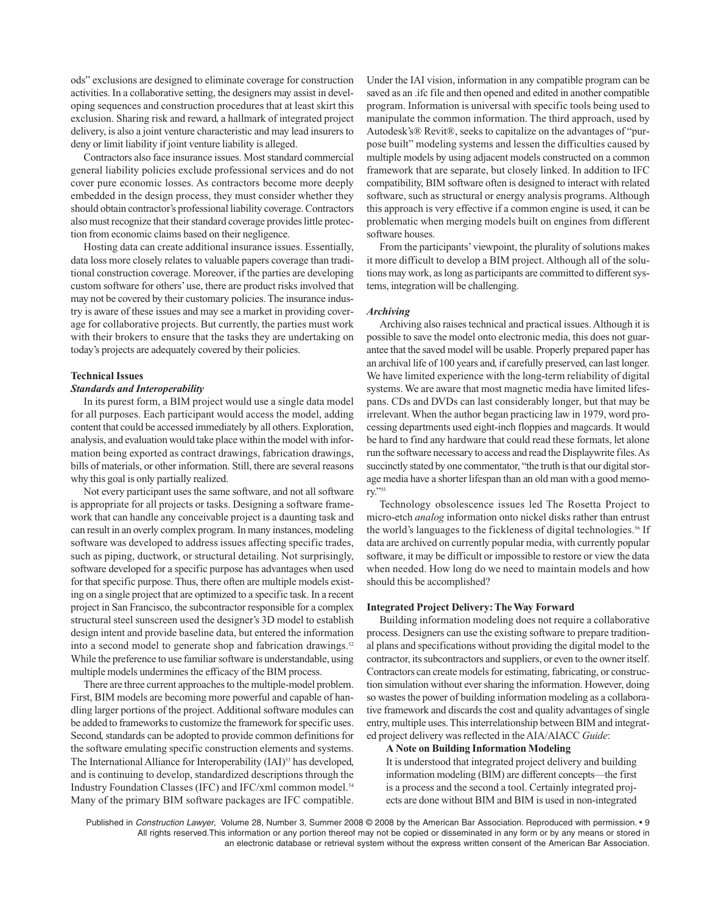ods" exclusions are designed to eliminate coverage for construction activities. In a collaborative setting, the designers may assist in developing sequences and construction procedures that at least skirt this exclusion. Sharing risk and reward, a hallmark of integrated project delivery, is also a joint venture characteristic and may lead insurers to deny or limit liability if joint venture liability is alleged.

Contractors also face insurance issues. Most standard commercial general liability policies exclude professional services and do not cover pure economic losses. As contractors become more deeply embedded in the design process, they must consider whether they should obtain contractor's professional liability coverage.Contractors also must recognize that their standard coverage provides little protection from economic claims based on their negligence.

Hosting data can create additional insurance issues. Essentially, data loss more closely relates to valuable papers coverage than traditional construction coverage. Moreover, if the parties are developing custom software for others' use, there are product risks involved that may not be covered by their customary policies.The insurance industry is aware of these issues and may see a market in providing coverage for collaborative projects. But currently, the parties must work with their brokers to ensure that the tasks they are undertaking on today's projects are adequately covered by their policies.

# **Technical Issues**

## *Standards and Interoperability*

In its purest form, a BIM project would use a single data model for all purposes. Each participant would access the model, adding content that could be accessed immediately by all others. Exploration, analysis, and evaluation would take place within the model with information being exported as contract drawings, fabrication drawings, bills of materials, or other information. Still, there are several reasons why this goal is only partially realized.

Not every participant uses the same software, and not all software is appropriate for all projects or tasks. Designing a software framework that can handle any conceivable project is a daunting task and can result in an overly complex program.In many instances, modeling software was developed to address issues affecting specific trades, such as piping, ductwork, or structural detailing. Not surprisingly, software developed for a specific purpose has advantages when used for that specific purpose. Thus, there often are multiple models existing on a single project that are optimized to a specific task. In a recent project in San Francisco, the subcontractor responsible for a complex structural steel sunscreen used the designer's 3D model to establish design intent and provide baseline data, but entered the information into a second model to generate shop and fabrication drawings.<sup>52</sup> While the preference to use familiar software is understandable, using multiple models undermines the efficacy of the BIM process.

There are three current approaches to the multiple-model problem. First, BIM models are becoming more powerful and capable of handling larger portions of the project. Additional software modules can be added to frameworks to customize the framework for specific uses. Second, standards can be adopted to provide common definitions for the software emulating specific construction elements and systems. The International Alliance for Interoperability (IAI) <sup>53</sup> has developed, and is continuing to develop, standardized descriptions through the Industry Foundation Classes (IFC) and IFC/xml common model. 54 Many of the primary BIM software packages are IFC compatible.

Under the IAI vision, information in any compatible program can be saved as an .ifc file and then opened and edited in another compatible program. Information is universal with specific tools being used to manipulate the common information. The third approach, used by Autodesk's® Revit®, seeks to capitalize on the advantages of "purpose built" modeling systems and lessen the difficulties caused by multiple models by using adjacent models constructed on a common framework that are separate, but closely linked. In addition to IFC compatibility, BIM software often is designed to interact with related software, such as structural or energy analysis programs. Although this approach is very effective if a common engine is used, it can be problematic when merging models built on engines from different software houses.

From the participants' viewpoint, the plurality of solutions makes it more difficult to develop a BIM project. Although all of the solutions may work, as long as participants are committed to different systems, integration will be challenging.

#### *Archiving*

Archiving also raises technical and practical issues.Although it is possible to save the model onto electronic media, this does not guarantee that the saved model will be usable. Properly prepared paper has an archival life of 100 years and, if carefully preserved, can last longer. We have limited experience with the long-term reliability of digital systems. We are aware that most magnetic media have limited lifespans. CDs and DVDs can last considerably longer, but that may be irrelevant. When the author began practicing law in 1979, word processing departments used eight-inch floppies and magcards. It would be hard to find any hardware that could read these formats, let alone run the software necessary to access and read the Displaywrite files.As succinctly stated by one commentator, "the truth is that our digital storage media have a shorter lifespan than an old man with a good memory."55

Technology obsolescence issues led The Rosetta Project to micro-etch *analog* information onto nickel disks rather than entrust the world's languages to the fickleness of digital technologies. <sup>56</sup> If data are archived on currently popular media, with currently popular software, it may be difficult or impossible to restore or view the data when needed. How long do we need to maintain models and how should this be accomplished?

## **Integrated Project Delivery:TheWay Forward**

Building information modeling does not require a collaborative process. Designers can use the existing software to prepare traditional plans and specifications without providing the digital model to the contractor, its subcontractors and suppliers, or even to the owner itself. Contractors can create models for estimating, fabricating, or construction simulation without eversharing the information. However, doing so wastes the power of building information modeling as a collaborative framework and discards the cost and quality advantages of single entry, multiple uses. This interrelationship between BIM and integrated project delivery was reflected in the AIA/AIACC *Guide*:

## **A Note on Building Information Modeling**

It is understood that integrated project delivery and building information modeling (BIM) are different concepts—the first is a process and the second a tool. Certainly integrated projects are done without BIM and BIM is used in non-integrated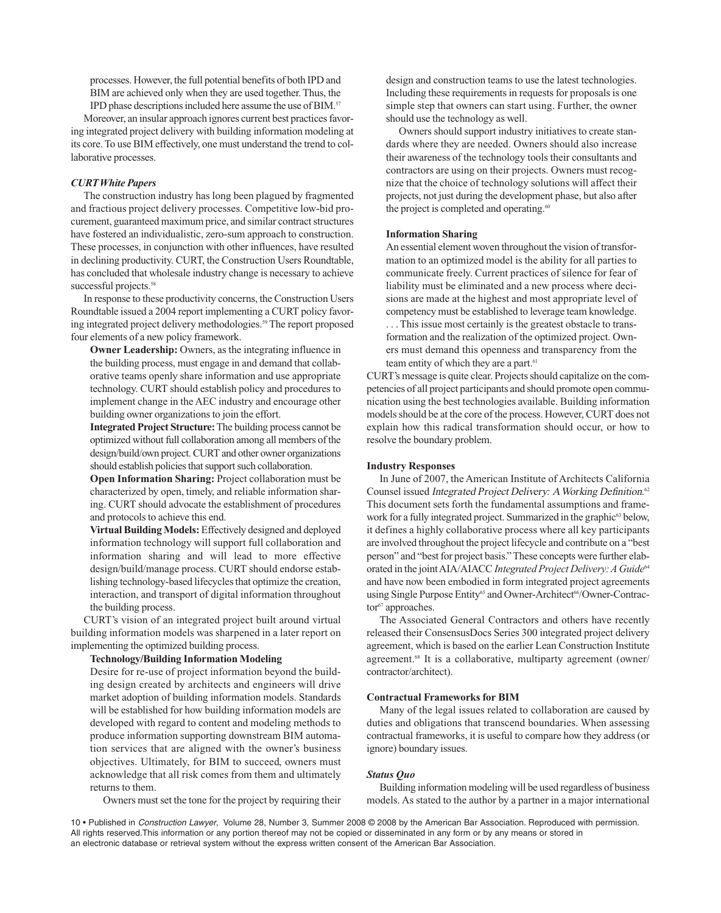processes. However, the full potential benefits of both IPD and BIM are achieved only when they are used together.Thus, the IPD phase descriptions included here assume the use of BIM.<sup>57</sup>

Moreover, an insular approach ignores current best practices favoring integrated project delivery with building information modeling at its core.To use BIM effectively, one must understand the trend to collaborative processes.

# *CURTWhite Papers*

The construction industry has long been plagued by fragmented and fractious project delivery processes. Competitive low-bid procurement, guaranteed maximum price, and similar contract structures have fostered an individualistic, zero-sum approach to construction. These processes, in conjunction with other influences, have resulted in declining productivity. CURT, the Construction Users Roundtable, has concluded that wholesale industry change is necessary to achieve successful projects.<sup>58</sup>

In response to these productivity concerns, the Construction Users Roundtable issued a 2004 report implementing a CURT policy favoring integrated project delivery methodologies. <sup>59</sup> The report proposed four elements of a new policy framework.

**Owner Leadership:** Owners, as the integrating influence in the building process, must engage in and demand that collaborative teams openly share information and use appropriate technology. CURT should establish policy and procedures to implement change in the AEC industry and encourage other building owner organizations to join the effort.

**Integrated Project Structure:**The building process cannot be optimized without full collaboration among all members of the design/build/own project.CURT and other owner organizations should establish policies that support such collaboration.

**Open Information Sharing:** Project collaboration must be characterized by open, timely, and reliable information sharing. CURT should advocate the establishment of procedures and protocols to achieve this end.

**VirtualBuilding Models:** Effectively designed and deployed information technology will support full collaboration and information sharing and will lead to more effective design/build/manage process. CURT should endorse establishing technology-based lifecyclesthat optimize the creation, interaction, and transport of digital information throughout the building process.

CURT's vision of an integrated project built around virtual building information models was sharpened in a later report on implementing the optimized building process.

#### **Technology/Building Information Modeling**

Desire for re-use of project information beyond the building design created by architects and engineers will drive market adoption of building information models. Standards will be established for how building information models are developed with regard to content and modeling methods to produce information supporting downstream BIM automation services that are aligned with the owner's business objectives. Ultimately, for BIM to succeed, owners must acknowledge that all risk comes from them and ultimately returns to them.

design and construction teams to use the latest technologies. Including these requirements in requests for proposals is one simple step that owners can start using. Further, the owner should use the technology as well.

Owners should support industry initiatives to create standards where they are needed. Owners should also increase their awareness of the technology tools their consultants and contractors are using on their projects. Owners must recognize that the choice of technology solutions will affect their projects, not just during the development phase, but also after the project is completed and operating.<sup>60</sup>

## **Information Sharing**

An essential element woven throughout the vision of transformation to an optimized model is the ability for all parties to communicate freely. Current practices of silence for fear of liability must be eliminated and a new process where decisions are made at the highest and most appropriate level of competency must be established to leverage team knowledge. . . . This issue most certainly is the greatest obstacle to transformation and the realization of the optimized project. Owners must demand this openness and transparency from the team entity of which they are a part. 61

CURT's message is quite clear. Projects should capitalize on the competencies of all project participants and should promote open communication using the best technologies available. Building information models should be at the core of the process. However, CURT does not explain how this radical transformation should occur, or how to resolve the boundary problem.

# **Industry Responses**

In June of 2007, the American Institute of Architects California Counsel issued Integrated Project Delivery: A Working Definition.<sup>62</sup> This document sets forth the fundamental assumptions and framework for a fully integrated project. Summarized in the graphic<sup>63</sup> below, it defines a highly collaborative process where all key participants are involved throughout the project lifecycle and contribute on a "best person" and "best for project basis." These concepts were further elaborated in the jointAIA/AIACC *Integrated Project Delivery:A Guide*<sup>64</sup> and have now been embodied in form integrated project agreements using Single Purpose Entity<sup>65</sup> and Owner-Architect<sup>66</sup>/Owner-Contractor <sup>67</sup> approaches.

The Associated General Contractors and others have recently released their ConsensusDocs Series 300 integrated project delivery agreement, which is based on the earlier Lean Construction Institute agreement. <sup>68</sup> It is a collaborative, multiparty agreement (owner/ contractor/architect).

#### **Contractual Frameworks for BIM**

Many of the legal issues related to collaboration are caused by duties and obligations that transcend boundaries. When assessing contractual frameworks, it is useful to compare how they address (or ignore) boundary issues.

## *Status Quo*

Building information modeling will be used regardless of business models. As stated to the author by a partner in a major international

Owners must set the tone for the project by requiring their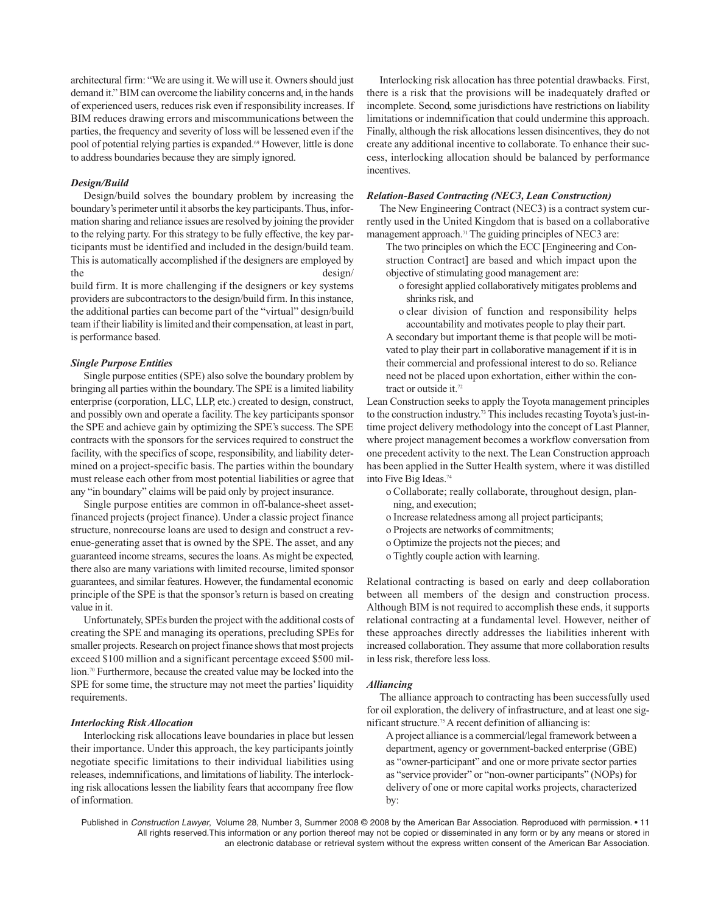architectural firm: "We are using it. We will use it. Owners should just demand it."BIM can overcome the liability concerns and, in the hands of experienced users, reduces risk even if responsibility increases. If BIM reduces drawing errors and miscommunications between the parties, the frequency and severity of loss will be lessened even if the pool of potential relying parties is expanded. <sup>69</sup> However, little is done to address boundaries because they are simply ignored.

## *Design/Build*

Design/build solves the boundary problem by increasing the boundary's perimeter until it absorbs the key participants. Thus, information sharing and reliance issues are resolved by joining the provider to the relying party. For this strategy to be fully effective, the key participants must be identified and included in the design/build team. This is automatically accomplished if the designers are employed by the design/

build firm. It is more challenging if the designers or key systems providers are subcontractors to the design/build firm. In this instance, the additional parties can become part of the "virtual" design/build team if their liability is limited and their compensation, at least in part, is performance based.

## *Single Purpose Entities*

Single purpose entities (SPE) also solve the boundary problem by bringing all parties within the boundary.The SPE is a limited liability enterprise (corporation, LLC, LLP, etc.) created to design, construct, and possibly own and operate a facility.The key participants sponsor the SPE and achieve gain by optimizing the SPE's success. The SPE contracts with the sponsors for the services required to construct the facility, with the specifics of scope, responsibility, and liability determined on a project-specific basis. The parties within the boundary must release each other from most potential liabilities or agree that any "in boundary" claims will be paid only by project insurance.

Single purpose entities are common in off-balance-sheet assetfinanced projects (project finance). Under a classic project finance structure, nonrecourse loans are used to design and construct a revenue-generating asset that is owned by the SPE. The asset, and any guaranteed income streams, secures the loans.As might be expected, there also are many variations with limited recourse, limited sponsor guarantees, and similar features. However, the fundamental economic principle of the SPE is that the sponsor's return is based on creating value in it.

Unfortunately, SPEs burden the project with the additional costs of creating the SPE and managing its operations, precluding SPEs for smaller projects. Research on project finance shows that most projects exceed \$100 million and a significant percentage exceed \$500 million. <sup>70</sup> Furthermore, because the created value may be locked into the SPE for some time, the structure may not meet the parties'liquidity requirements.

# *Interlocking RiskAllocation*

Interlocking risk allocations leave boundaries in place but lessen their importance. Under this approach, the key participants jointly negotiate specific limitations to their individual liabilities using releases, indemnifications, and limitations of liability.The interlocking risk allocations lessen the liability fears that accompany free flow of information.

Interlocking risk allocation has three potential drawbacks. First, there is a risk that the provisions will be inadequately drafted or incomplete. Second, some jurisdictions have restrictions on liability limitations or indemnification that could undermine this approach. Finally, although the risk allocations lessen disincentives, they do not create any additional incentive to collaborate. To enhance their success, interlocking allocation should be balanced by performance incentives.

## *Relation-Based Contracting (NEC3, Lean Construction)*

The New Engineering Contract (NEC3) is a contract system currently used in the United Kingdom that is based on a collaborative management approach.<sup>71</sup> The guiding principles of NEC3 are:

- The two principles on which the ECC [Engineering and Construction Contract] are based and which impact upon the objective of stimulating good management are:
	- o foresight applied collaboratively mitigates problems and shrinks risk, and
	- o clear division of function and responsibility helps accountability and motivates people to play their part.

A secondary but important theme is that people will be motivated to play their part in collaborative management if it is in their commercial and professional interest to do so. Reliance need not be placed upon exhortation, either within the contract or outside it. 72

Lean Construction seeks to apply the Toyota management principles to the construction industry.<sup>73</sup> This includes recasting Toyota's just-intime project delivery methodology into the concept of Last Planner, where project management becomes a workflow conversation from one precedent activity to the next. The Lean Construction approach has been applied in the Sutter Health system, where it was distilled into Five Big Ideas. 74

- o Collaborate; really collaborate, throughout design, planning, and execution;
- o Increase relatedness among all project participants;
- o Projects are networks of commitments;
- o Optimize the projects not the pieces; and
- o Tightly couple action with learning.

Relational contracting is based on early and deep collaboration between all members of the design and construction process. Although BIM is not required to accomplish these ends, it supports relational contracting at a fundamental level. However, neither of these approaches directly addresses the liabilities inherent with increased collaboration.They assume that more collaboration results in less risk, therefore less loss.

## *Alliancing*

The alliance approach to contracting has been successfully used for oil exploration, the delivery of infrastructure, and at least one significant structure.<sup>75</sup> A recent definition of alliancing is:

A project alliance is a commercial/legal framework between a department, agency or government-backed enterprise (GBE) as "owner-participant" and one or more private sector parties as "service provider" or "non-owner participants" (NOPs) for delivery of one or more capital works projects, characterized by: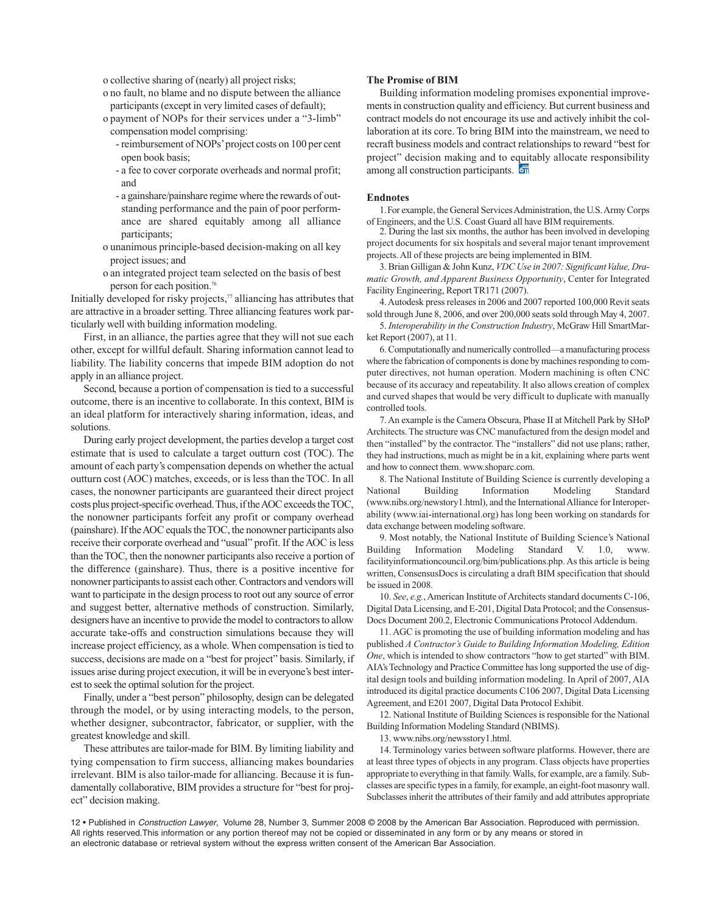o collective sharing of (nearly) all project risks;

- o no fault, no blame and no dispute between the alliance participants(except in very limited cases of default);
- o payment of NOPs for their services under a "3-limb" compensation model comprising:
	- reimbursement of NOPs'project costs on 100 per cent open book basis;
	- a fee to cover corporate overheads and normal profit; and
	- a gainshare/painshare regime where the rewards of outstanding performance and the pain of poor performance are shared equitably among all alliance participants;
- o unanimous principle-based decision-making on all key project issues; and
- o an integrated project team selected on the basis of best person for each position. 76

Initially developed for risky projects, <sup>77</sup> alliancing has attributes that are attractive in a broader setting.Three alliancing features work particularly well with building information modeling.

First, in an alliance, the parties agree that they will not sue each other, except for willful default. Sharing information cannot lead to liability. The liability concerns that impede BIM adoption do not apply in an alliance project.

Second, because a portion of compensation is tied to a successful outcome, there is an incentive to collaborate. In this context, BIM is an ideal platform for interactively sharing information, ideas, and solutions.

During early project development, the parties develop a target cost estimate that is used to calculate a target outturn cost (TOC). The amount of each party's compensation depends on whether the actual outturn cost (AOC) matches, exceeds, or is less than the TOC. In all cases, the nonowner participants are guaranteed their direct project costs plus project-specific overhead. Thus, if the AOC exceeds the TOC, the nonowner participants forfeit any profit or company overhead (painshare). If the AOC equals the TOC, the nonowner participants also receive their corporate overhead and "usual" profit. If the AOC is less than theTOC, then the nonowner participants also receive a portion of the difference (gainshare). Thus, there is a positive incentive for nonowner participants to assist each other. Contractors and vendors will want to participate in the design processto root out any source of error and suggest better, alternative methods of construction. Similarly, designers have an incentive to provide the model to contractors to allow accurate take-offs and construction simulations because they will increase project efficiency, as a whole. When compensation is tied to success, decisions are made on a "best for project" basis. Similarly, if issues arise during project execution, it will be in everyone's best interest to seek the optimal solution for the project.

Finally, under a "best person" philosophy, design can be delegated through the model, or by using interacting models, to the person, whether designer, subcontractor, fabricator, or supplier, with the greatest knowledge and skill.

These attributes are tailor-made for BIM. By limiting liability and tying compensation to firm success, alliancing makes boundaries irrelevant. BIM is also tailor-made for alliancing. Because it is fundamentally collaborative, BIM provides a structure for "best for project" decision making.

# **The Promise of BIM**

Building information modeling promises exponential improvements in construction quality and efficiency. But current business and contract models do not encourage its use and actively inhibit the collaboration at its core. To bring BIM into the mainstream, we need to recraft business models and contract relationships to reward "best for project" decision making and to equitably allocate responsibility among all construction participants.

## **Endnotes**

1.For example, the General ServicesAdministration, the U.S.ArmyCorps of Engineers, and the U.S. Coast Guard all have BIM requirements.

2. During the last six months, the author has been involved in developing project documents for six hospitals and several major tenant improvement projects.All of these projects are being implemented in BIM.

3. Brian Gilligan & John Kunz, *VDC Use in 2007: Significant Value, Dramatic Growth, and Apparent Business Opportunity*, Center for Integrated Facility Engineering, Report TR171 (2007).

4. Autodesk press releases in 2006 and 2007 reported 100,000 Revit seats sold through June 8, 2006, and over 200,000 seats sold through May 4, 2007.

5. *Interoperability in the Construction Industry*, McGraw Hill SmartMarket Report (2007), at 11.

6.Computationally and numerically controlled—a manufacturing process where the fabrication of components is done by machines responding to computer directives, not human operation. Modern machining is often CNC because of its accuracy and repeatability. It also allows creation of complex and curved shapes that would be very difficult to duplicate with manually controlled tools.

7. An example is the Camera Obscura, Phase II at Mitchell Park by SHoP Architects.The structure was CNC manufactured from the design model and then "installed" by the contractor. The "installers" did not use plans; rather, they had instructions, much as might be in a kit, explaining where parts went and how to connect them. www.shoparc.com.

8. The National Institute of Building Science is currently developing a National Building Information Modeling Standard (www.nibs.org/newstory1.html), and the International Alliance for Interoperability (www.iai-international.org) has long been working on standards for data exchange between modeling software.

9. Most notably, the National Institute of Building Science's National Building Information Modeling Standard V. 1.0, www. facilityinformationcouncil.org/bim/publications.php. As this article is being written, ConsensusDocs is circulating a draft BIM specification that should be issued in 2008.

10. *See*, *e.g.*, American Institute of Architects standard documents C-106, Digital Data Licensing, and E-201, Digital Data Protocol; and theConsensus-Docs Document 200.2, Electronic Communications Protocol Addendum.

11. AGC is promoting the use of building information modeling and has published *A Contractor's Guide to Building Information Modeling, Edition One*, which is intended to show contractors "how to get started" with BIM. AIA's Technology and Practice Committee has long supported the use of digital design tools and building information modeling. In April of 2007, AIA introduced its digital practice documents C106 2007, Digital Data Licensing Agreement, and E201 2007, Digital Data Protocol Exhibit.

12. National Institute of Building Sciences is responsible for the National Building Information Modeling Standard (NBIMS).

13. www.nibs.org/newsstory1.html.

14. Terminology varies between software platforms. However, there are at least three types of objects in any program. Class objects have properties appropriate to everything in that family. Walls, for example, are a family. Subclasses are specific types in a family, for example, an eight-foot masonry wall. Subclassesinherit the attributes of their family and add attributes appropriate

<sup>12 •</sup> Published in Construction Lawyer, Volume 28, Number 3, Summer 2008 © 2008 by the American Bar Association. Reproduced with permission. All rights reserved.This information or any portion thereof may not be copied or disseminated in any form or by any means or stored in an electronic database or retrieval system without the express written consent of the American Bar Association.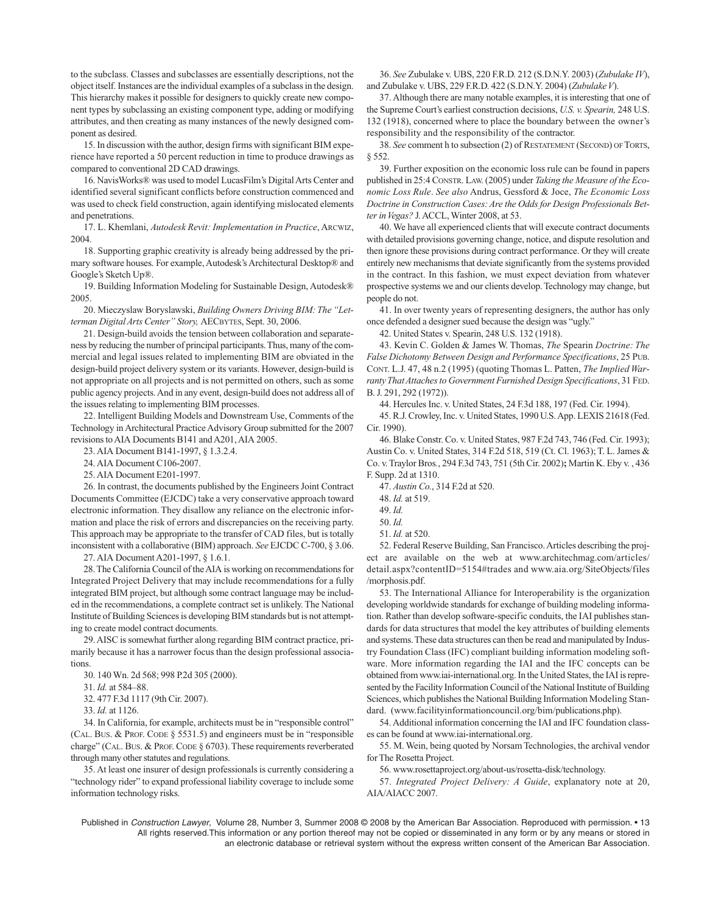to the subclass. Classes and subclasses are essentially descriptions, not the object itself. Instances are the individual examples of a subclassin the design. This hierarchy makes it possible for designers to quickly create new component types by subclassing an existing component type, adding or modifying attributes, and then creating as many instances of the newly designed component as desired.

15.In discussion with the author, design firms with significantBIM experience have reported a 50 percent reduction in time to produce drawings as compared to conventional 2D CAD drawings.

16. NavisWorks® was used to model LucasFilm's DigitalArts Center and identified several significant conflicts before construction commenced and was used to check field construction, again identifying mislocated elements and penetrations.

17. L. Khemlani, *Autodesk Revit: Implementation in Practice*, ARCWIZ, 2004.

18. Supporting graphic creativity is already being addressed by the primary software houses. For example,Autodesk'sArchitectural Desktop® and Google's Sketch Up®.

19. Building Information Modeling for Sustainable Design, Autodesk® 2005.

20. Mieczyslaw Boryslawski, *Building Owners Driving BIM: The "Letterman DigitalArts Center" Story,* AECBYTES, Sept. 30, 2006.

21. Design-build avoids the tension between collaboration and separateness by reducing the number of principal participants. Thus, many of the commercial and legal issues related to implementing BIM are obviated in the design-build project delivery system or its variants. However, design-build is not appropriate on all projects and is not permitted on others, such as some public agency projects.And in any event, design-build does not address all of the issues relating to implementing BIM processes.

22. Intelligent Building Models and Downstream Use, Comments of the Technology in Architectural Practice Advisory Group submitted for the 2007 revisions to AIA Documents B141 and A201, AIA 2005.

23.AIA Document B141-1997, § 1.3.2.4.

24.AIA Document C106-2007.

25.AIA Document E201-1997.

26. In contrast, the documents published by the Engineers Joint Contract Documents Committee (EJCDC) take a very conservative approach toward electronic information. They disallow any reliance on the electronic information and place the risk of errors and discrepancies on the receiving party. This approach may be appropriate to the transfer of CAD files, but is totally inconsistent with a collaborative (BIM) approach. *See* EJCDC C-700, § 3.06.

27. AIA Document A201-1997, § 1.6.1.

28. The California Council of the AIA is working on recommendations for Integrated Project Delivery that may include recommendations for a fully integrated BIM project, but although some contract language may be included in the recommendations, a complete contract set is unlikely.The National Institute of Building Sciences is developing BIM standards but is not attempting to create model contract documents.

29.AISC issomewhat further along regarding BIM contract practice, primarily because it has a narrower focus than the design professional associations.

30. 140 Wn. 2d 568; 998 P.2d 305 (2000).

31. *Id.* at 584–88.

32. 477 F.3d 1117 (9th Cir. 2007).

33. *Id.* at 1126.

34. In California, for example, architects must be in "responsible control" (CAL. BUS. & PROF. CODE § 5531.5) and engineers must be in "responsible charge" (CAL. BUS. & PROF. CODE  $\S 6703$ ). These requirements reverberated through many other statutes and regulations.

35. At least one insurer of design professionals is currently considering a "technology rider" to expand professional liability coverage to include some information technology risks.

36. *See* Zubulake v. UBS, 220 F.R.D. 212 (S.D.N.Y. 2003) (*Zubulake IV*), and Zubulake v. UBS, 229 F.R.D. 422 (S.D.N.Y. 2004) (*ZubulakeV*).

37. Although there are many notable examples, it is interesting that one of the Supreme Court's earliest construction decisions, *U.S. v. Spearin,* 248 U.S. 132 (1918), concerned where to place the boundary between the owner's responsibility and the responsibility of the contractor.

38. *See* comment h to subsection (2) of RESTATEMENT (SECOND) OFTORTS, § 552.

39. Further exposition on the economic loss rule can be found in papers published in 25:4 CONSTR. LAW. (2005) under *Taking the Measure of the Economic Loss Rule*. *See also* Andrus, Gessford & Joce, *The Economic Loss Doctrine in Construction Cases:Are the Odds for Design Professionals BetterinVegas?* J.ACCL, Winter 2008, at 53.

40. We have all experienced clients that will execute contract documents with detailed provisions governing change, notice, and dispute resolution and then ignore these provisions during contract performance. Or they will create entirely new mechanisms that deviate significantly from the systems provided in the contract. In this fashion, we must expect deviation from whatever prospective systems we and our clients develop.Technology may change, but people do not.

41. In over twenty years of representing designers, the author has only once defended a designer sued because the design was "ugly."

42. United States v. Spearin, 248 U.S. 132 (1918).

43. Kevin C. Golden & James W. Thomas, *The* Spearin *Doctrine: The False Dichotomy Between Design and Performance Specifications*, 25 PUB. CONT. L.J. 47, 48 n.2 (1995) (quoting Thomas L. Patten, *The Implied WarrantyThatAttachesto Government Furnished Design Specifications*, 31 FED. B.J. 291, 292 (1972)).

44. Hercules Inc. v. United States, 24 F.3d 188, 197 (Fed. Cir. 1994).

45.R.J.Crowley,Inc. v. United States, 1990 U.S.App. LEXIS 21618 (Fed. Cir. 1990).

46. Blake Constr. Co. v. United States, 987 F.2d 743, 746 (Fed. Cir. 1993); Austin Co. v. United States, 314 F.2d 518, 519 (Ct. Cl. 1963); T. L. James & Co. v.Traylor Bros*.*, 294 F.3d 743, 751 (5th Cir. 2002)**;** Martin K. Eby v. , 436 F. Supp. 2d at 1310.

47. *Austin Co.*, 314 F.2d at 520.

48. *Id.* at 519.

50. *Id.*

51. *Id.* at 520.

52. Federal Reserve Building, San Francisco.Articles describing the project are available on the web at www.architechmag.com/articles/ detail.aspx?contentID=5154#trades and www.aia.org/SiteObjects/files /morphosis.pdf.

53. The International Alliance for Interoperability is the organization developing worldwide standards for exchange of building modeling information. Rather than develop software-specific conduits, the IAI publishes standards for data structures that model the key attributes of building elements and systems.These data structures can then be read and manipulated by Industry Foundation Class (IFC) compliant building information modeling software. More information regarding the IAI and the IFC concepts can be obtained from www.iai-international.org. In the United States, the IAI is represented by the Facility Information Council of the National Institute of Building Sciences, which publishes the National Building Information Modeling Standard. (www.facilityinformationcouncil.org/bim/publications.php).

54.Additional information concerning the IAI and IFC foundation classes can be found at www.iai-international.org.

55. M. Wein, being quoted by NorsamTechnologies, the archival vendor forThe Rosetta Project.

56. www.rosettaproject.org/about-us/rosetta-disk/technology.

57. *Integrated Project Delivery: A Guide*, explanatory note at 20, AIA/AIACC 2007.

<sup>49.</sup> *Id.*